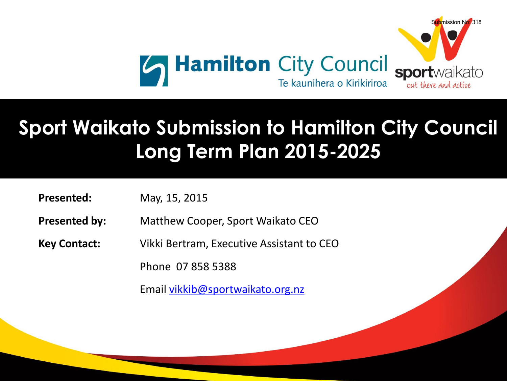

## **Long Term Plan 2015-2025 Sport Waikato Submission to Hamilton City Council Long Term Plan 2015-2025**

**Presented:** May, 15, 2015

**Presented:** 1

**Presented by:** Matthew Cooper, Sport Waikato CEO

st April 2015

- **Key Contact: Vikki Bertram, Executive Assistant to CEO**
- **Example 07 858 5388** 
	- Email [vikkib@sportwaikato.org.nz](mailto:vikkib@sportwaikato.org.nz)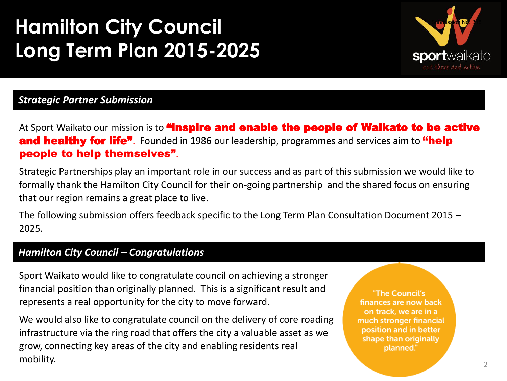

### *Strategic Partner Submission*

At Sport Waikato our mission is to **"inspire and enable the people of Waikato to be active** and healthy for life<sup>7</sup>. Founded in 1986 our leadership, programmes and services aim to "help people to help themselves".

Strategic Partnerships play an important role in our success and as part of this submission we would like to formally thank the Hamilton City Council for their on-going partnership and the shared focus on ensuring that our region remains a great place to live.

The following submission offers feedback specific to the Long Term Plan Consultation Document 2015 – 2025.

#### *Hamilton City Council – Congratulations*

Sport Waikato would like to congratulate council on achieving a stronger financial position than originally planned. This is a significant result and represents a real opportunity for the city to move forward.

We would also like to congratulate council on the delivery of core roading infrastructure via the ring road that offers the city a valuable asset as we grow, connecting key areas of the city and enabling residents real mobility.

"The Council's finances are now back on track, we are in a much stronger financial position and in better shape than originally planned."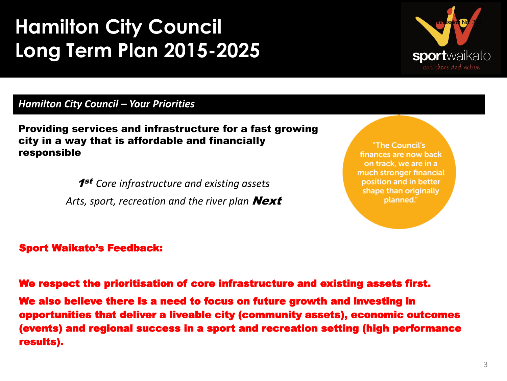

*Hamilton City Council – Your Priorities* 

Providing services and infrastructure for a fast growing city in a way that is affordable and financially responsible

> 1st *Core infrastructure and existing assets*  Arts, sport, recreation and the river plan **Next**

"The Council's finances are now back on track, we are in a much stronger financial position and in better shape than originally planned."

#### Sport Waikato's Feedback:

We respect the prioritisation of core infrastructure and existing assets first.

We also believe there is a need to focus on future growth and investing in opportunities that deliver a liveable city (community assets), economic outcomes (events) and regional success in a sport and recreation setting (high performance results).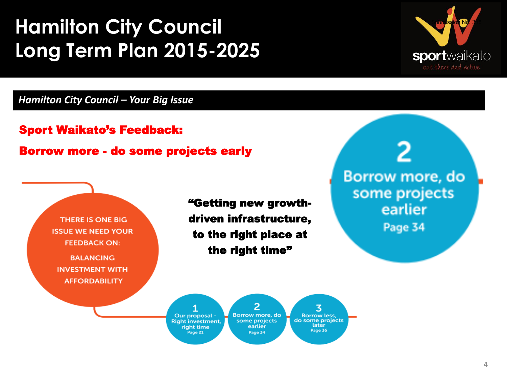

#### *Hamilton City Council – Your Big Issue*

THERE IS ONE BIG

**ISSUE WE NEED YOUR FEEDBACK ON:** 

**BALANCING INVESTMENT WITH AFFORDABILITY** 

Sport Waikato's Feedback: Borrow more - do some projects early

> "Getting new growthdriven infrastructure, to the right place at the right time"

Borrow more, do some projects earlier Page 34



2 Borrow more, do some projects earlier Page 34

**Borrow less,** do some projects later Page 36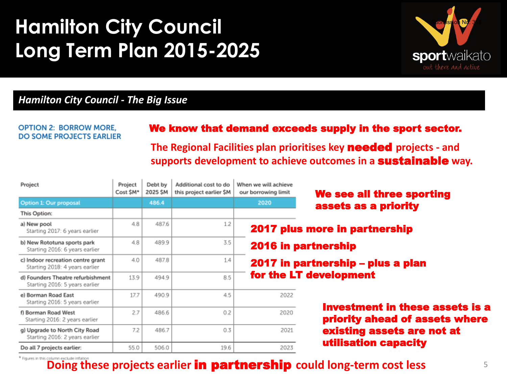

#### *Hamilton City Council - The Big Issue*

#### **OPTION 2: BORROW MORE, DO SOME PROJECTS EARLIER**

#### We know that demand exceeds supply in the sport sector.

**The Regional Facilities plan prioritises key** needed **projects - and supports development to achieve outcomes in a** sustainable **way.** 

| Project                                                             | Project<br>Cost SM* | Debt by<br>2025 SM | Additional cost to do<br>this project earlier SM | When we will achieve<br>our borrowing limit | We see all three sporting              |
|---------------------------------------------------------------------|---------------------|--------------------|--------------------------------------------------|---------------------------------------------|----------------------------------------|
| Option 1: Our proposal                                              |                     | 486.4              |                                                  | 2020                                        | assets as a priority                   |
| This Option:                                                        |                     |                    |                                                  |                                             |                                        |
| a) New pool<br>Starting 2017: 6 years earlier                       | 4.8                 | 487.6              | 1.2                                              |                                             | 2017 plus more in partnership          |
| b) New Rototuna sports park<br>Starting 2016: 6 years earlier       | 4.8                 | 489.9              | 3.5                                              |                                             | <b>2016 in partnership</b>             |
| c) Indoor recreation centre grant<br>Starting 2018: 4 years earlier | 4.0                 | 487.8              | 1.4                                              | 2017 in partnership - plus a plan           |                                        |
| d) Founders Theatre refurbishment<br>Starting 2016: 5 years earlier | 13.9                | 494.9              | 8.5                                              |                                             | for the LT development                 |
| e) Borman Road East<br>Starting 2016: 5 years earlier               | 17.7                | 490.9              | 4.5                                              | 2022                                        | <b>Investment in these assets is a</b> |
| f) Borman Road West<br>Starting 2016: 2 years earlier               | 2.7                 | 486.6              | 0.2                                              | 2020                                        | priority ahead of assets where         |
| g) Upgrade to North City Road<br>Starting 2016: 2 years earlier     | 7.2                 | 486.7              | 0.3                                              | 2021                                        | existing assets are not at             |
| Do all 7 projects earlier:                                          | 55.0                | 506.0              | 19.6                                             | 2023                                        | utilisation capacity                   |

**Doing these projects earlier <b>in partnership** could long-term cost less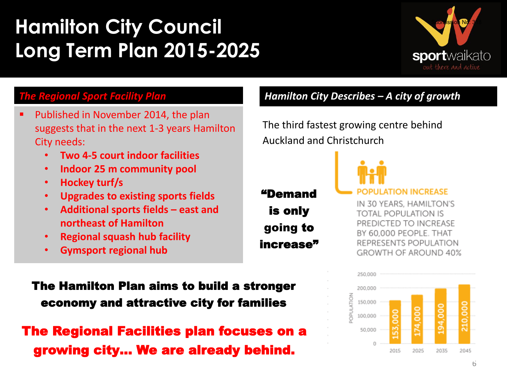

### *The Regional Sport Facility Plan*

- Published in November 2014, the plan suggests that in the next 1-3 years Hamilton City needs:
	- **Two 4-5 court indoor facilities**
	- **Indoor 25 m community pool**
	- **Hockey turf/s**
	- **Upgrades to existing sports fields**
	- **Additional sports fields – east and northeast of Hamilton**
	- **Regional squash hub facility**
	- **Gymsport regional hub**

The Hamilton Plan aims to build a stronger economy and attractive city for families

## The Regional Facilities plan focuses on a growing city… We are already behind.

### *Hamilton City Describes – A city of growth*

The third fastest growing centre behind Auckland and Christchurch

### "Demand is only going to increase"



#### **ATION INCREASE**

IN 30 YEARS, HAMILTON'S **TOTAL POPULATION IS** PREDICTED TO INCREASE BY 60,000 PEOPLE. THAT REPRESENTS POPULATION GROWTH OF AROUND 40%

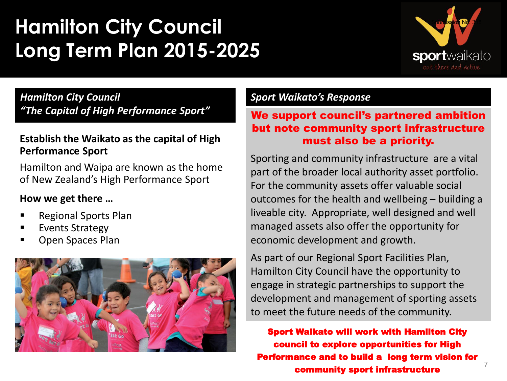

7

*Hamilton City Council "The Capital of High Performance Sport"*

### **Establish the Waikato as the capital of High Performance Sport**

Hamilton and Waipa are known as the home of New Zealand's High Performance Sport

### **How we get there …**

- Regional Sports Plan
- Events Strategy
- Open Spaces Plan



### *Sport Waikato's Response*

#### We support council's partnered ambition but note community sport infrastructure must also be a priority.

Sporting and community infrastructure are a vital part of the broader local authority asset portfolio. For the community assets offer valuable social outcomes for the health and wellbeing – building a liveable city. Appropriate, well designed and well managed assets also offer the opportunity for economic development and growth.

As part of our Regional Sport Facilities Plan, Hamilton City Council have the opportunity to engage in strategic partnerships to support the development and management of sporting assets to meet the future needs of the community.

Sport Waikato will work with Hamilton City council to explore opportunities for High Performance and to build a long term vision for community sport infrastructure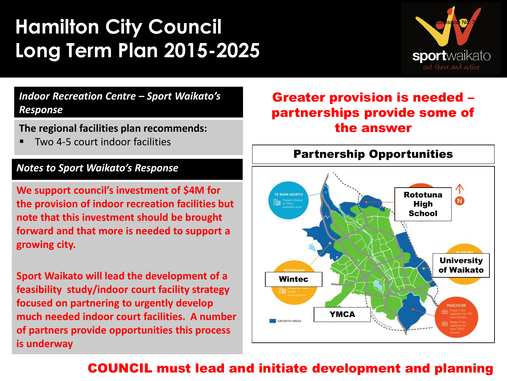

*Indoor Recreation Centre – Sport Waikato's Response*

**The regional facilities plan recommends:**

Two 4-5 court indoor facilities

#### *Notes to Sport Waikato's Response*

**We support council's investment of \$4M for the provision of indoor recreation facilities but note that this investment should be brought forward and that more is needed to support a growing city.**

**Sport Waikato will lead the development of a feasibility study/indoor court facility strategy focused on partnering to urgently develop much needed indoor court facilities. A number of partners provide opportunities this process is underway**

### Greater provision is needed – partnerships provide some of the answer



### COUNCIL must lead and initiate development and planning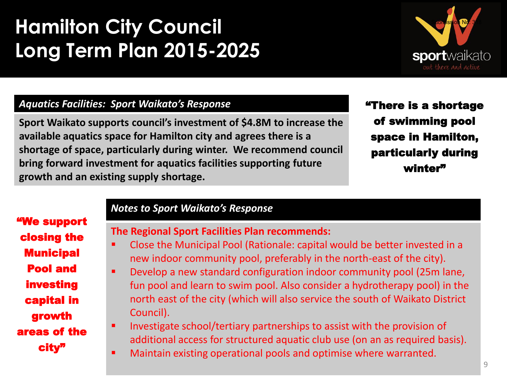

#### *Aquatics Facilities: Sport Waikato's Response*

**Sport Waikato supports council's investment of \$4.8M to increase the available aquatics space for Hamilton city and agrees there is a shortage of space, particularly during winter. We recommend council bring forward investment for aquatics facilities supporting future growth and an existing supply shortage.**

"There is a shortage of swimming pool space in Hamilton, particularly during winter"

"We support closing the **Municipal** Pool and investing capital in growth areas of the city"

#### *Notes to Sport Waikato's Response*

#### **The Regional Sport Facilities Plan recommends:**

- Close the Municipal Pool (Rationale: capital would be better invested in a new indoor community pool, preferably in the north-east of the city).
- Develop a new standard configuration indoor community pool (25m lane, fun pool and learn to swim pool. Also consider a hydrotherapy pool) in the north east of the city (which will also service the south of Waikato District Council).
- **Investigate school/tertiary partnerships to assist with the provision of** additional access for structured aquatic club use (on an as required basis).
- Maintain existing operational pools and optimise where warranted.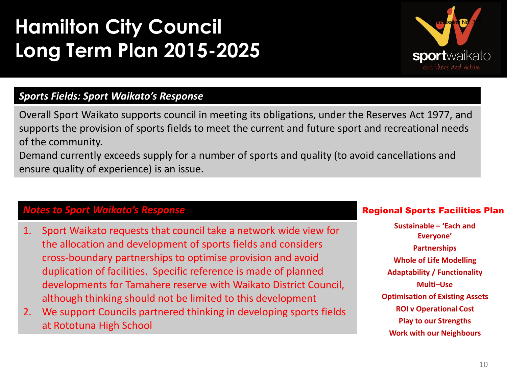

### *Sports Fields: Sport Waikato's Response*

Overall Sport Waikato supports council in meeting its obligations, under the Reserves Act 1977, and supports the provision of sports fields to meet the current and future sport and recreational needs of the community.

Demand currently exceeds supply for a number of sports and quality (to avoid cancellations and ensure quality of experience) is an issue.

#### *Notes to Sport Waikato's Response*

- 1. Sport Waikato requests that council take a network wide view for the allocation and development of sports fields and considers cross-boundary partnerships to optimise provision and avoid duplication of facilities. Specific reference is made of planned developments for Tamahere reserve with Waikato District Council, although thinking should not be limited to this development
- 2. We support Councils partnered thinking in developing sports fields at Rototuna High School

#### Regional Sports Facilities Plan

Sustainable - 'Each and Everyone' **Partnerships Whole of Life Modelling Adaptability / Functionality Multi-Use Optimisation of Existing Assets ROI v Operational Cost Play to our Strengths Work with our Neighbours**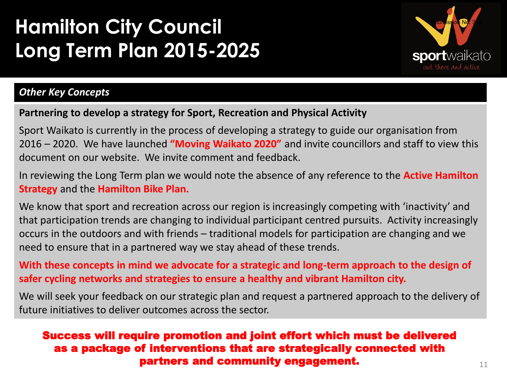

### *Other Key Concepts*

#### **Partnering to develop a strategy for Sport, Recreation and Physical Activity**

Sport Waikato is currently in the process of developing a strategy to guide our organisation from 2016 – 2020. We have launched **"Moving Waikato 2020"** and invite councillors and staff to view this document on our website. We invite comment and feedback.

In reviewing the Long Term plan we would note the absence of any reference to the **Active Hamilton Strategy** and the **Hamilton Bike Plan.** 

We know that sport and recreation across our region is increasingly competing with 'inactivity' and that participation trends are changing to individual participant centred pursuits. Activity increasingly occurs in the outdoors and with friends – traditional models for participation are changing and we need to ensure that in a partnered way we stay ahead of these trends.

**With these concepts in mind we advocate for a strategic and long-term approach to the design of safer cycling networks and strategies to ensure a healthy and vibrant Hamilton city.**

We will seek your feedback on our strategic plan and request a partnered approach to the delivery of future initiatives to deliver outcomes across the sector.

#### Success will require promotion and joint effort which must be delivered as a package of interventions that are strategically connected with partners and community engagement.